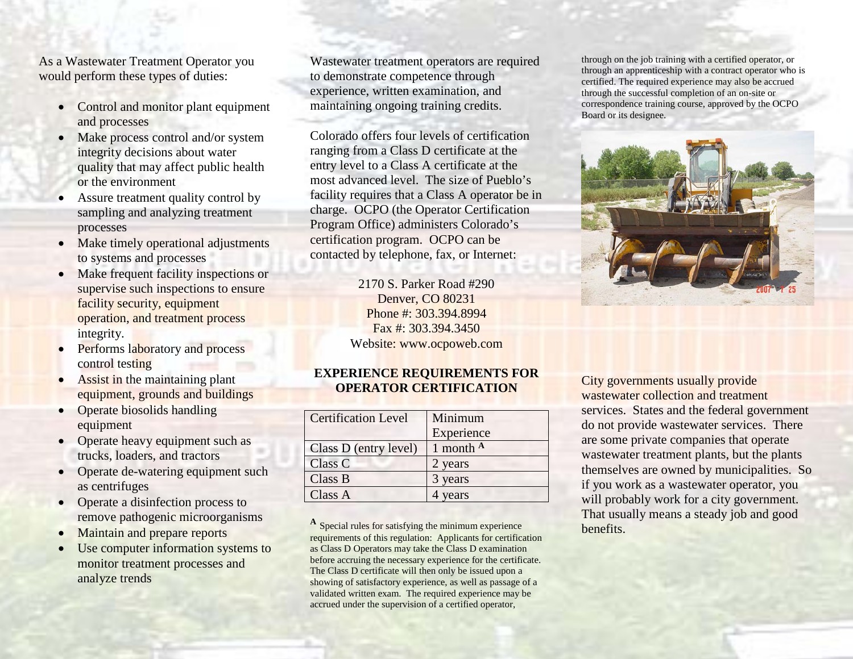As a Wastewater Treatment Operator you would perform these types of duties:

- Control and monitor plant equipment and processes
- Make process control and/or system integrity decisions about water quality that may affect public health or the environment
- Assure treatment quality control by sampling and analyzing treatment processes
- Make timely operational adjustments to systems and processes
- Make frequent facility inspections or supervise such inspections to ensure facility security, equipment operation, and treatment process integrity.
- Performs laboratory and process control testing
- Assist in the maintaining plant equipment, grounds and buildings
- Operate biosolids handling equipment
- Operate heavy equipment such as trucks, loaders, and tractors
- Operate de-watering equipment such as centrifuges
- Operate a disinfection process to remove pathogenic microorganisms
- Maintain and prepare reports
- Use computer information systems to monitor treatment processes and analyze trends

Wastewater treatment operators are required to demonstrate competence through experience, written examination, and maintaining ongoing training credits.

Colorado offers four levels of certification ranging from a Class D certificate at the entry level to a Class A certificate at the most advanced level. The size of Pueblo's facility requires that a Class A operator be in charge. OCPO (the Operator Certification Program Office) administers Colorado's certification program. OCPO can be contacted by telephone, fax, or Internet:

> 2170 S. Parker Road #290 Denver, CO 80231 Phone #: 303.394.8994 Fax #: 303.394.3450 Website: www.ocpoweb.com

## **EXPERIENCE REQUIREMENTS FOR OPERATOR CERTIFICATION**

| <b>Certification Level</b> | Minimum     |
|----------------------------|-------------|
|                            | Experience  |
| Class D (entry level)      | 1 month $A$ |
| Class C                    | 2 years     |
| Class B                    | 3 years     |
| Class A                    | years       |

**<sup>A</sup>** Special rules for satisfying the minimum experience requirements of this regulation: Applicants for certification as Class D Operators may take the Class D examination before accruing the necessary experience for the certificate. The Class D certificate will then only be issued upon a showing of satisfactory experience, as well as passage of a validated written exam. The required experience may be accrued under the supervision of a certified operator,

through on the job training with a certified operator, or through an apprenticeship with a contract operator who is certified. The required experience may also be accrued through the successful completion of an on-site or correspondence training course, approved by the OCPO Board or its designee.



City governments usually provide wastewater collection and treatment services. States and the federal government do not provide wastewater services. There are some private companies that operate wastewater treatment plants, but the plants themselves are owned by municipalities. So if you work as a wastewater operator, you will probably work for a city government. That usually means a steady job and good benefits.